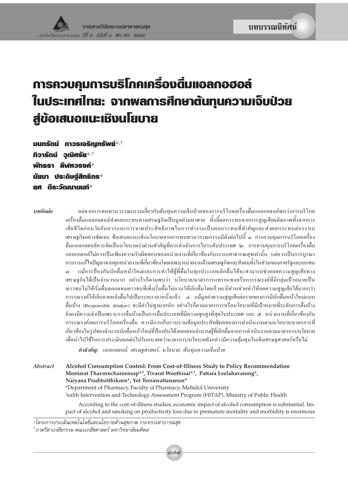## การควบคุมการบริโภคเครื่องตื่มแอลกอฮอล์ ในประเทศไทย: จากพลการศึกษาต้นทุนความเจ็บป่วย สู่ข้อเสนอแนะเมิงนโยบาย

มนทรัตม์ **ถาวรเจริญทรัพย์\*.**† **ทิวารัตน์ วุฒิศรัย\*** $\dot{a}$ พัทธรา ลีฬหวรงค์\* นัยนา ประดิษจ์สิทธิกร $^*$ ยศ ดีระวัฒนานนท์\*

าเทคัดย่อ

้ผลจากการทบทวนวรรณกรรมเกี่ยวกับต้นทุนความเจ็บป่วยของการบริโภคเครื่องดื่มแอลกอฮอล์พบว่าการบริโภค ้เครื่องคื่มแอลกอฮอล์ส่งผลกระทบทางเศรษฐกิจเป็นมูลค่ามหาศาล ทั้งนี้ผลกระทบจากการสูญเสียผลิตภาพทั้งจากการ ้เสียชีวิตก่อนวัยอันควรและการขาดประสิทธิภาพในการทำงานเป็นผลกระทบที่สำคัญและส่งผลกระทบต่อระบบ เศรษฐกิจอย่างชัดเจน ข้อเสนอแนะเชิงนโยบายจากการทบทวนวรรณกรรมมีดังต่อไปนี้ ๑. การควบคุมการบริโภคเครื่อง ้ดื่มแอลกอฮอล์ควรจัดเป็นนโยบายเร่งด่วนสำคัญที่ควรดำเนินการในระดับประเทศ ๒. การควบคุมการบริโภคเครื่องดื่ม แอลกอฮอล์ไม่ควรเป็นเพียงความรับผิดชอบของหน่วยงานที่เกี่ยวข้องกับระบบสาธารณสุขเท่านั้น แต่ควรเป็นการบูรณา ้การการแก้ไขปัญหาจากทุกหน่วยงานที่เกี่ยวข้องโดยเฉพาะหน่วยงานด้านเศรษฐกิจและสังคมทั้งในส่วนของภาครัฐและเอกชน แม้การป้องกันนักดื่มหน้าใหม่และการทำให้ผู้ที่ดื่มในทุกประเภทเลิกดื่มได้จะสามารถช่วยลดความสูญเสียทาง  $\omega$ ้เศรษฐกิจได้เป็นจำนวนมาก อย่างไรก็ตามพบว่า นโยบาย/มาตรการแทรกแซงหรือการรณรงค์ที่มีกลุ่มเป้าหมายเป็น เยาวชนไม่ให้เริ่มดื่มตลอดจนเยาวชนที่เพิ่งเริ่มดื่มไม่นานให้เลิกดื่มโดยเร็วจะมีส่วนช่วยทำให้ลดความสูญเสียได้มากกว่า ี การรณรงค์ให้เลิกภายหลังคื่มไปเป็นระยะเวลาหนึ่งแล้ว ๔. แม้มูลค่าความสูญเสียต่อรายของการมีนักคื่มหน้าใหม่แบบ ้ดื่มบ้าง (Responsible drinker) จะมีค่าไม่สูงมากนัก อย่างไรก็ตามมาตรการหรือนโยบายที่มีเป้าหมายที่ระดับการดื่มบ้าง ้ยังคงมีความจำเป็นเพราะการดื่มบ้างเป็นการดื่มประเภทที่มีความชุกสูงที่สุดในประเทศ และ ๕. หน่วยงานที่เกี่ยวข้องกับ ึการรณรงค์ลดการบริโภคเครื่องดื่ม ควรมีการเก็บรวบรวมข้อมูลประสิทธิผลของการดำเนินงานตามนโยบาย/มาตรการที่ เกี่ยวข้องในรูปของจำนวนนักดื่มหน้าใหม่ที่ป้องกันได้ตลอดจนจำนวนผู้ที่เลิกดื่มจากการดำเนินงานตามมาตรการ/นโยบาย ้เพื่อนำไปใช้ในการประเมินผลต่อไปในอนาคตว่ามาตรการ/นโยบายดังกล่าวมีความคุ้มทุนในเชิงเศรษฐศาสตร์หรือไม่

คำสำคัญ: แอลกอฮอล์, เศรษฐศาสตร์, นโยบาย, ต้นทุนความเจ็บป่วย

Alcohol Consumption Control: From Cost-of-Illness Study to Policy Recommendation Abstract Montarat Thavorncharoensap<sup>\*,†</sup>, Tivarat Woothisai<sup>\*,†</sup>, Pattara Leelahavarong<sup>\*</sup>, Naiyana Praditsitthikorn\*, Yot Teerawattananon\* \*Department of Pharmacy, Faculty of Pharmacy, Mahidol University <sup>t</sup>ealth Intervention and Technology Assessment Program (HITAP), Ministry of Public Health According to the cost-of-illness studies, economic impact of alcohol consumption is substantial. Impact of alcohol and smoking on productivity loss due to premature mortality and morbidity is enormous

\*โครงการประเมินเทคโนโลยีและนโยบายด้านสุขภาพ กระทรวงสาธารณสุข <sup>†</sup>ภาควิชาเภสัชกรรม คณะเภสัชศาสตร์ มหาวิทยาลัยมหิดล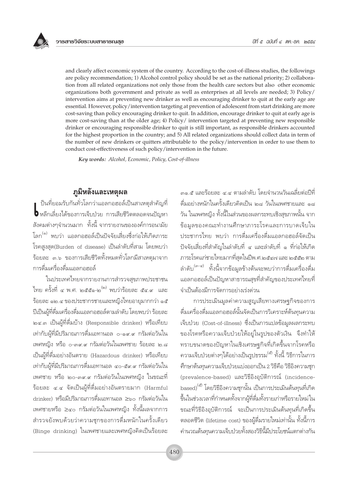and clearly affect economic system of the country. According to the cost-of-illness studies, the followings are policy recommendation; 1) Alcohol control policy should be set as the national priority; 2) collaboration from all related organizations not only those from the health care sectors but also other economic organizations both government and private as well as enterprises at all levels are needed; 3) Policy/ intervention aims at preventing new drinker as well as encouraging drinker to quit at the early age are essential. However, policy/intervention targeting at prevention of adolescent from start drinking are more cost-saving than policy encouraging drinker to quit. In addition, encourage drinker to quit at early age is more cost-saving than at the older age; 4) Policy/ intervention targeted at preventing new responsible drinker or encouraging responsible drinker to quit is still important, as responsible drinkers accounted for the highest proportion in the country; and 5) All related organizations should collect data in term of the number of new drinkers or quitters attributable to the policy/intervention in order to use them to conduct cost-effectiveness of such policy/intervention in the future.

Key words: Alcohol, Economic, Policy, Cost-of-illness

## ภูมิหลังและเหตุผล

ป็นที่ยอมรับกันทั่วโลกว่าแอลกอฮอล์เป็นสาเหตุสำคัญที่ **b** หลีกเลี่ยงได้ของการเจ็บป่วย การเสียชีวิตตลอดจนปัญหา ้สังคมต่างๆจำนวนมาก ทั้งนี้ จากรายงานขององค์การอนามัย โลก<sup>(๑)</sup> พบว่า แอลกอฮอล์เป็นปัจจัยเสี่ยงซึ่งก่อให้เกิดภาระ โรคสูงสุด(Burden of disease) เป็นลำดับที่สาม โดยพบว่า ร้อยละ ๓.๖ ของการเสียชีวิตทั้งหมดทั่วโลกมีสาเหตุมาจาก การดื่มเครื่องดื่มแอลกอฮอล์

ในประเทศไทยจากรายงานการสำรวจสุขภาพประชาชน ไทย ครั้งที่ ๔ พ.ศ. ๒๕๕๑-๒ ่ พบว่าร้อยละ ๕๔.๙ และ <u>ร้อยละ ๑๒.๔ ของประชากรชายและหญิงไทยอายุมากกว่า ๑๕</u> ปีเป็นผู้ที่ดื่มเครื่องดื่มแอลกอฮอล์ตามลำดับ โดยพบว่า ร้อยละ ๒๔.๓ เป็นผู้ที่ดื่มบ้าง (Responsible drinker) หรือเทียบ เท่ากับผู้ที่มีปริมาณการดื่มเอทานอล ๐-๑๙.๙ กรัมต่อวันใน เพศหญิง หรือ ๐-๓๙.๙ กรัมต่อวันในเพศชาย ร้อยละ ๒.๘ เป็นผู้ที่ดื่มอย่างอันตราย (Hazardous drinker) หรือเทียบ เท่ากับผู้ที่มีปริมาณการดื่มเอทานอล ๔๐-๕๙.๙ กรัมต่อวันใน เพศชาย หรือ ๒๐-๓๙.๙ กรัมต่อวันในเพศหญิง ในขณะที่ ร้อยละ ๔.๔ จัดเป็นผู้ที่ดื่มอย่างอันตรายมาก (Harmful drinker) หรือมีปริมาณการดื่มเอทานอล ≥๖๐ กรัมต่อวันใน เพศชายหรือ ≥๔๐ กรัมต่อวันในเพศหญิง ทั้งนี้ผลจากการ สำรวจยังพบด้วยว่าความชุกของการดื่มหนักในครั้งเดียว (Binge drinking) ในเพศชายและเพศหญิงคิดเป็นร้อยละ

ดื่มอย่างหนักในครั้งเดียวคิดเป็น ๒๘ วันในเพศชายและ ๑๘ ้วัน ในเพศหญิง ทั้งนี้ในส่วนของผลกระทบเชิงสุขภาพนั้น จาก ข้อมูลของคณะทำงานศึกษาภาระโรคและการบาดเจ็บใน ประชากรไทย พบว่า การดื่มเครื่องดื่มแอลกอฮอล์จัดเป็น ปัจจัยเสี่ยงที่สำคัญในลำดับที่ ๔ และลำดับที่ ๑ ที่ก่อให้เกิด ภาระโรคแก่ชายไทยมากที่สุดในปีพ.ศ.๒๕๔๗ และ ๒๕๕๒ ตาม ลำดับ<sup>(๓-๔)</sup> ทั้งนี้จากข้อมูลข้างต้นจะพบว่าการดื่มเครื่องดื่ม แอลกอฮอล์เป็นปัญหาสาธารณสขที่สำคัญของประเทศไทยที่ จำเป็นต้องมีการจัดการอย่างเร่งด่วน

การประเมินมูลค่าความสูญเสียทางเศรษฐกิจของการ ดื่มเครื่องดื่มแอลกอฮอล์นั้นจัดเป็นการวิเคราะห์ต้นทุนความ เจ็บป่วย (Cost-of-illness) ซึ่งเป็นการแปลข้อมูลผลกระทบ ของโรคหรือความเจ็บป่วยให้อยู่ในรูปของตัวเงิน จึงทำให้ ทราบขนาดของปัญหาในเชิงเศรษฐกิจที่เกิดขึ้นจากโรคหรือ ความเจ็บป่วยต่างๆได้อย่างเป็นรูปธรรม<sup>(๕)</sup> ทั้งนี้ วิธีการในการ คึกษาต้นทุนความเจ็บป่วยแบ่งออกเป็น 2 วิธีคือ วิธีอิงความชุก (prevalence-based) และวิธีอิงอุบัติการณ์ (incidencebased)<sup>(๕)</sup> โดยวิธีอิงความชุกนั้น เป็นการประเมินต้นทุนที่เกิด ขึ้นในช่วงเวลาที่กำหนดทั้งจากผู้ที่ดื่มทั้งรายเก่าหรือรายใหม่ ใน ขณะที่วิธีอิงอุบัติการณ์ จะเป็นการประเมินต้นทุนที่เกิดขึ้น ตลอดชีวิต (lifetime cost) ของผู้ดื่มรายใหม่เท่านั้น ทั้งนี้การ คำนวณต้นทนความเจ็บป่วยทั้งสองวิธีนี้มีประโยชน์แตกต่างกัน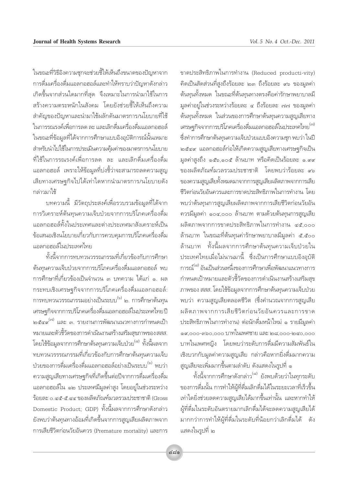ในขณะที่วิธีอิงความชกจะช่วยชี้ให้เห็นถึงขนาดของปัญหาจาก การดื่มเครื่องดื่มแอลกอฮอล์และทำให้ทราบว่าปัญหาดังกล่าว เกิดขึ้นจากส่วนใดมากที่สุด จึงเหมาะในการนำมาใช้ในการ สร้างความตระหนักในสังคม โดยยังช่วยชี้ให้เห็นถึงความ สำคัญของปัญหาและนำมาใช้ผลักดันมาตรการ/นโยบายที่ใช้ ในการรณรงค์เพื่อการลด ละ และเลิกดื่มเครื่องดื่มแอลกอฮอล์ ในขณะที่ข้อมลที่ได้จากการศึกษาแบบอิงอบัติการณ์นั้นเหมาะ สำหรับนำไปใช้ในการประเมินความคุ้มค่าของมาตรการ/นโยบาย ที่ใช้ในการรณรงค์เพื่อการลด ละ และเลิกดื่มเครื่องดื่ม แอลกอฮอล์ เพราะให้ข้อมูลที่บ่งชี้ว่าจะสามารถลดความสูญ เสียทางเศรษฐกิจไปได้เท่าใดหากนำมาตรการ/นโยบายดัง กล่าวมาใช้

้บทความนี้ มีวัตถุประสงค์เพื่อรวบรวมข้อมูลที่ได้จาก การวิเคราะห์ต้นทุนความเจ็บป่วยจากการบริโภคเครื่องดื่ม แอลกอฮอล์ทั้งในประเทศและต่างประเทศมาสังเคราะห์เป็น ข้อเสนอเชิงนโยบายเกี่ยวกับการควบคุมการบริโภคเครื่องดื่ม แอลกอฮอล์ในประเทศไทย

ทั้งนี้จากการทบทวนวรรณกรรมที่เกี่ยวข้องกับการศึกษา ้ต้นทนความเจ็บป่วยจากการบริโภคเครื่องดื่มแอลกอฮอล์ พบ การศึกษาที่เกี่ยวข้องเป็นจำนวน ๓ บทความ ได้แก่ ๑. ผล กระทบเชิงเศรษฐกิจจากการบริโภคเครื่องดื่มแอลกอฮอล์: การทบทวนวรรณกรรมอย่างเป็นระบบ<sup>(๖)</sup> ๒. การศึกษาต้นทุน เศรษฐกิจจากการบริโภคเครื่องดื่มแอลกอฮอล์ในประเทศไทยปี ้๒๕๔๙ และ ๓. รายงานการพัฒนาแนวทางการกำหนดเป้า หมายและตัวชี้วัดของการดำเนินงานสร้างเสริมสุขภาพของ สสส. โดยใช้ข้อมูลจากการศึกษาต้นทุนความเจ็บป่วย<sup>(๘)</sup> ทั้งนี้ผลจาก ิทบทวนวรรรณกรรมที่เกี่ยวข้องกับการศึกษาต้นทุนความเจ็บ ี ป่วยของการดื่มเครื่องดื่มแอลกอฮอล์อย่างเป็นระบบ<sup>(๖)</sup> พบว่า ้ความสูญเสียทางเศรษฐกิจที่เกิดขึ้นต่อปีจากการดื่มเครื่องดื่ม แอลกอฮอล์ใน ๑๒ ประเทศมีมูลค่าสูง โดยอยู่ในช่วงระหว่าง ร้อยละ ๐.๔๕-๕.๔๔ ของผลิตภัณฑ์มวลรวมประชาชาติ (Gross Domestic Product; GDP) ทั้งนี้ผลจากการศึกษาดังกล่าว ยังพบว่าต้นทุนทางอ้อมที่เกิดขึ้นจากการสูญเสียผลิตภาพจาก การเสียชีวิตก่อนวัยอันควร (Premature mortality) และการ

ขาดประสิทธิภาพในการทำงาน (Reduced producti-vity) คิดเป็นสัดส่วนที่สูงถึงร้อยละ ๒๓ ถึงร้อยละ ๙๖ ของมูลค่า ต้นทุนทั้งหมด ในขณะที่ต้นทุนทางตรงคือค่ารักษาพยาบาลมี มูลค่าอยู่ในช่วงระหว่างร้อยละ ๔ ถึงร้อยละ ๗๗ ของมูลค่า ้ต้นทุนทั้งหมด ในส่วนของการศึกษาต้นทุนความสูญเสียทาง เศรษฐกิจจากการบริโภคเครื่องดื่มแอลกอฮอล์ในประเทศไทย<sup>(๗)</sup> ซึ่งทำการศึกษาต้นทุนความเจ็บป่วยแบบอิงความชุก พบว่า ในปี ๒๕๔๙ แอลกอฮอล์ก่อให้เกิดความสูญเสียทางเศรษฐกิจเป็น มลค่าสงถึง ๑๕๖,๑๐๕ ล้านบาท หรือคิดเป็นร้อยละ ๑.๙๙ ของผลิตภัณฑ์มวลรวมประชาชาติ โดยพบว่าร้อยละ ๙๖ ของความสูญเสียทั้งหมดมาจากการสูญเสียผลิตภาพจากการเสีย ชีวิตก่อนวัยอันควรและการขาดประสิทธิภาพในการทำงาน โดย พบว่าต้นทุนการสูญเสียผลิตภาพจากการเสียชีวิตก่อนวัยอัน ควรมีมูลค่า ๑๐๔,๐๐๐ ล้านบาท ตามด้วยต้นทุนการสูญเสีย ผลิตภาพจากการขาดประสิทธิภาพในการทำงาน ๔๕,๐๐๐ ล้านบาท ในขณะที่ต้นทุนค่ารักษาพยาบาลมีมูลค่า ๕,๕๐๐ ล้านบาท ทั้งนี้ผลจากการศึกษาต้นทุนความเจ็บป่วยใน ประเทศไทยเมื่อไม่นานมานี้ ซึ่งเป็นการศึกษาแบบอิงอุบัติ การณ์<sup>(๘)</sup> อันเป็นส่วนหนึ่งของการศึกษาเพื่อพัฒนาแนวทางการ กำหนดเป้าหมายและตัวชี้วัดของการดำเนินงานสร้างเสริมสข ภาพของ สสส. โดยใช้ข้อมูลจากการศึกษาต้นทุนความเจ็บป่วย ้พบว่า ความสฌเสียตลอดชีวิต (ซึ่งคำนวณจากการสฌเสีย ผลิตภาพจากการเสียชีวิตก่อนวัยอันควรและการขาด ประสิทธิภาพในการทำงาน) ต่อนักดื่มหน้าใหม่ ๑ รายมีมูลค่า ๑๙,๐๐๐-๓๖๐,๐๐๐ บาทในเพศชาย และ ๒๘,๐๐๐-๒๔๐,๐๐๐ บาทในเพศหญิง โดยพบว่าระดับการดื่มมีความสัมพันธ์ใน ้เชิงบวกกับมูลค่าความสูญเสีย กล่าวคือหากยิ่งดื่มมากความ ี่สูญเสียจะเพิ่มมากขึ้นตามลำดับ ดังแสดงในรูปที่ ๑

์ทั้งนี้จากการศึกษาดังกล่าว<sup>(๘)</sup> ยังพบด้วยว่าในทุกระดับ ของการดื่มนั้น การทำให้ผู้ที่ดื่มเลิกดื่มได้ในระยะเวลาที่เร็วขึ้น เท่าใดยิ่งช่วยลดความสูญเสียได้มากขึ้นเท่านั้น และหากทำให้ ผู้ที่ดื่มในระดับอันตรายมากเลิกดื่มได้จะลดความสูญเสียได้ มากกว่าการทำให้ผู้ที่ดื่มในระดับที่น้อยกว่าเลิกดื่มได้ ดัง แสดงในรูปที่ ๒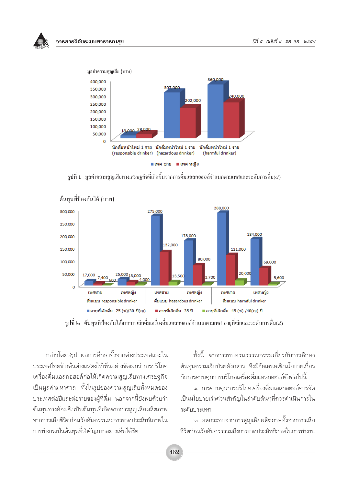วารสารวิจัยระบบสาธารณสข



 $\,$ รูปที่ 1 มูลค่าความสูญเสียทางเศรษฐกิจที่เกิดขึ้นจากการคื่มแอลกอฮอล์จำแนกตามเพศและระดับการคื่ม(๔)



้ต้นทนที่ป้องกันได้ (บาท)

ี **รูปที่ ๒** ต้นทุนที่ป้องกันใด้จากการเลิกดื่มเครื่องดื่มแอลกอฮอล์จำแนกตามเพศ อายุที่เลิกและระดับการดื่ม(๔)

้กล่าวโดยสรป ผลการศึกษาทั้งจากต่างประเทศและใน ประเทศไทยข้างต้นต่างแสดงให้เห็นอย่างชัดเจนว่าการบริโภค เครื่องดื่มแอลกอฮอล์ก่อให้เกิดความสูญเสียทางเศรษฐกิจ เป็นมูลค่ามหาศาล ทั้งในรูปของความสูญเสียทั้งหมดของ ประเทศต่อปีและต่อรายของผู้ที่ดื่ม นอกจากนี้ยังพบด้วยว่า ต้นทุนทางอ้อมซึ่งเป็นต้นทุนที่เกิดจากการสูญเสียผลิตภาพ จากการเสียชีวิตก่อนวัยอันควรและการขาดประสิทธิภาพใน การทำงานเป็นต้นทุนที่สำคัญมากอย่างเห็นได้ชัด

ทั้งนี้ จากการทบทวนวรรณกรรมเกี่ยวกับการศึกษา ต้นทนความเจ็บป่วยดังกล่าว จึงมีข้อเสนอเชิงนโยบายเกี่ยว กับการควบคุมการบริโภคเครื่องดื่มแอลกอฮอล์ดังต่อไปนี้

๑. การควบคุมการบริโภคเครื่องดื่มแอลกอฮอล์ควรจัด ้เป็นนโยบายเร่งด่วนสำคัญในลำดับต้นๆที่ควรดำเนินการใน ระดับประเทศ

๒. ผลกระทบจากการสูญเสียผลิตภาพทั้งจากการเสีย ชีวิตก่อนวัยอันควรรวมถึงการขาดประสิทธิภาพในการทำงาน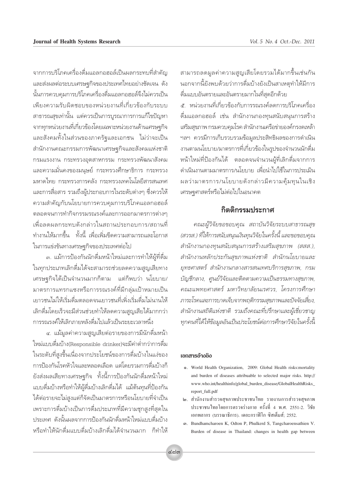็จากการบริโภคเครื่องดื่มแอลกอฮอล์เป็นผลกระทบที่สำคัญ ·≈– àߺ≈μàÕ√–∫∫‡»√…∞°'®¢Õߪ√–‡∑»‰∑¬Õ¬à"ß™—¥‡®π ¥—ß ์นั้นการควบคมการบริโภคเครื่องดื่มแอลกอฮอล์จึงไม่ควรเป็น เพียงความรับผิดชอบของหน่วยงานที่เกี่ยวข้องกับระบบ สาธารณสุขเท่านั้น แต่ควรเป็นการบูรณาการการแก้ไขปัญหา ึจากทุกหน่วยงานที่เกี่ยวข้องโดยเฉพาะหน่วยงานด้านเศรษฐกิจ เเละสังคมทั้งในส่วนของภาครัฐและเอกชน <sup>ไ</sup>ม่ว่าจะเป็น สำนักงานคณะกรรมการพัฒนาเศรษฐกิจและสังคมแห่งชาติ ารมแรงงาน กระทรวงอตสาหกรรม กระทรวงพัฒนาสังคม ้และความมั่นคงของมนูษย์ กระทรวงศึกษาธิการ กระทรวง มหาดไทย กระทรวงการคลัง กระทรวงเทคโนโลยีสารสนเทศ และการสื่อสาร รวมถึงผู้ประกอบการในระดับต่างๆ ซึ่งควรให้ ์ ความสำคัญกับนโยบายการควบคุมการบริโภคแอลกอฮอล์ ิ ตลอดจนการทำกิจกรรมรณรงค์และการออกมาตรการต่างๆ ้เพื่อลดผลกระทบดังกล่าวในสถานประกอบการ/สถานที่ ์ ทำงานให้มากขึ้น ∵ทั้งนี้ เพื่อเพิ่มขีดความสามารถและโอกาส ในการแข่งขันทางเศรษฐกิจของประเทศต่อไป

ิ ๓. แม้การป้องกันนักดื่มหน้าใหม่และการทำให้ผู้ที่ดื่ม ในทุกประเภทเลิกดื่มได้จะสามารถช่วยลดความสูญเสียทาง เศรษฐกิจได้เป็นจำนวนมากก็ตาม แต่ก็พบว่า นโยบาย/ มาตรการแทรกแซงหรือการรณรงค์ที่มีกล่มเป้าหมายเป็น ้เยาวชนไม่ให้เริ่มดื่มตลอดจนเยาวชนที่เพิ่งเริ่มดื่มไม่นานให้ ู้ เลิกดื่มโดยเร็วจะมีส่วนช่วยทำให้ลดความสูญเสียได้มากกว่า ้การรณรงค์ให้เลิกภายหลังดื่มไปแล้วเป็นระยะเวลาหนึ่ง

๔. แม้มูลค่าความสูญเสียต่อรายของการมีนักดื่มหน้า ใหม่แบบดื่มบ้าง(Responsible drinker)จะมีค่าต่ำกว่าการดื่ม ในระดับที่สงขึ้นเนื่องจากประโยชน์ของการดื่มบ้างในแง่ของ ำการป้องกันโรคหัวใจและหลอดเลือด แต่โดยรวมการดื่มบ้างก็ ี ยังส่งผลเสียทางเศรษฐกิจ ทั้งนี้การป้องกันนักดื่มหน้าใหม่ เเบบดื่มบ้างหรือทำให้ผู้ดื่มบ้างเลิกดื่มได้ แม้ต้นทุนที่ป้องกัน ได้ต่อรายจะไม่สูงแต่ก็จัดเป็นมาตรการหรือนโยบายที่จำเป็น เพราะการดื่มบ้างเป็นการดื่มประเภทที่มีความชุกสูงที่สุดใน ู้<br>ประเทศ ดังนั้นผลจากการป้องกันนักดื่มหน้าใหม่แบบดื่มบ้าง ึ่งรือทำให้นักดื่มแบบดื่มบ้างเลิกดื่มได้จำนวนมาก ก็ทำให้

สามารถลดมูลค่าความสูญเสียโดยรวมได้มากขึ้นเช่นกัน นอกจากนี้ยังพบด้วยว่าการดื่มบ้างยังเป็นสาเหตุทำให้มีการ ู้ดื่มแบบอันตรายและอันตรายมากในที่สุดอีกด้วย ี่∉ั…หน่วยงานที่เกี่ยวข้องกับการรณรงค์ลดการบริโภคเครื่อง ู้<br>ดื่มแอลกอฮอล์ เช่น สำนักงานกองทุนสนับสนุนการสร้าง เสริมสุขภาพ กรมควบคุมโรค สำนักงานเครือข่ายองค์กรงดเหล้า ิ ฯลฯ ควรมีการเก็บรวบรวมข้อมูลประสิทธิผลของการดำเนิน งานตามนโยบาย/มาตรการที่เกี่ยวข้องในรูปของจำนวนนักดื่ม ีหน้าใหม่ที่ป้องกันได้ ตลอดจนจำนวนผ้ที่เลิกดื่มจากการ ดำเนินงานตามมาตรการ/นโยบาย เพื่อนำไปใช้ในการประเมิน ผลว่ามาตรการ/นโยบายดังกล่าวมีความคุ้มทุนในเชิง เศรษฐศาสตร์หรือไม่ต่อไปในอนาคต

## ึกิตติกรรมประกาศ

 $\rho$ ณะผู้วิจัยขอขอบคุณ สถาบันวิจัยระบบสาธารณสุข  $\alpha$  / สวรส.) ที่ให้การสนับสนุนเงินทุนวิจัยในครั้งนี้ และขอขอบคุณ∕ี ี สำนักงานกองทุนสนับสนุนการสร้างเสริมสุขภาพ *(สสส.),* สำนักงานหลักประกันสุขภาพแห่งชาติ สำนักนโยบายและ ยุทธศาสตร์ สำนักงานกลางสารสนเทศบริการสุขภาพ, กรม  $\check{\mathrm{u}}$ ญชีกลาง, ศูนย์วิจัยและติดตามความเป็นธรรมทางสุขภาพ, คณะแพทยศาสตร์ มหาวิทยาลัยนเรศวร, โครงการศึกษา  $\overline{p}$ ากระโรคและการบาดเจ็บจากพฤติกรรมสุขภาพและปัจจัยเสี่ยง, ี สำนักงานสถิติแห่งชาติ รวมถึงคณะที่ปรึกษาและผู้เชี่ยวชาญ *∑°§π∑'ˉ¥â"Àâ¢âÕ¡ ÿ ≈Õ—π‡ªìπª√–'¬™πåμàÕ°"√»÷°…"«'®—¬"π§√—Èßπ Ÿ* 'È

## เอกสารอ้างอิง

- Ò. World Health Organization, 2009: Global Health risks:mortality and burden of diseases attribuable to selected major risks. http:// www.who.int/healthinfo/global\_burden\_disease/GlobalHealthRisks\_ report\_full.pdf
- ๒. สำนักงานสำรวจสุขภาพประชาชนไทย รายงานการสำรวจสุขภาพ ประชาชนไทยโดยการตรวจร่างกาย ครั้งที่ 4 พ.ศ. 2551-2. วิชัย เอกพลากร (บรรณาธิการ). เคอะกราฟิโก ซิสเต็มส์; 2552.
- Û. Bundhamcharoen K, Odton P, Phulkerd S, Tangcharoensathien V. Burden of disease in Thailand: changes in health gap between